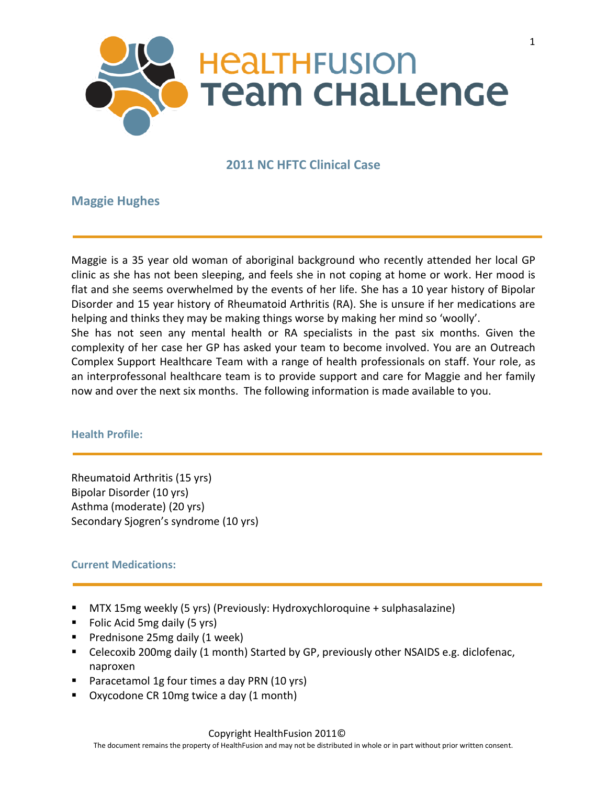

# **2011 NC HFTC Clinical Case**

# **Maggie Hughes**

Maggie is a 35 year old woman of aboriginal background who recently attended her local GP clinic as she has not been sleeping, and feels she in not coping at home or work. Her mood is flat and she seems overwhelmed by the events of her life. She has a 10 year history of Bipolar Disorder and 15 year history of Rheumatoid Arthritis (RA). She is unsure if her medications are helping and thinks they may be making things worse by making her mind so 'woolly'. She has not seen any mental health or RA specialists in the past six months. Given the complexity of her case her GP has asked your team to become involved. You are an Outreach Complex Support Healthcare Team with a range of health professionals on staff. Your role, as an interprofessonal healthcare team is to provide support and care for Maggie and her family now and over the next six months. The following information is made available to you.

#### **Health Profile:**

Rheumatoid Arthritis (15 yrs) Bipolar Disorder (10 yrs) Asthma (moderate) (20 yrs) Secondary Sjogren's syndrome (10 yrs)

## **Current Medications:**

- MTX 15mg weekly (5 yrs) (Previously: Hydroxychloroquine + sulphasalazine)
- **Folic Acid 5mg daily (5 yrs)**
- **Prednisone 25mg daily (1 week)**
- Celecoxib 200mg daily (1 month) Started by GP, previously other NSAIDS e.g. diclofenac, naproxen
- **Paracetamol 1g four times a day PRN (10 yrs)**
- Oxycodone CR 10mg twice a day (1 month)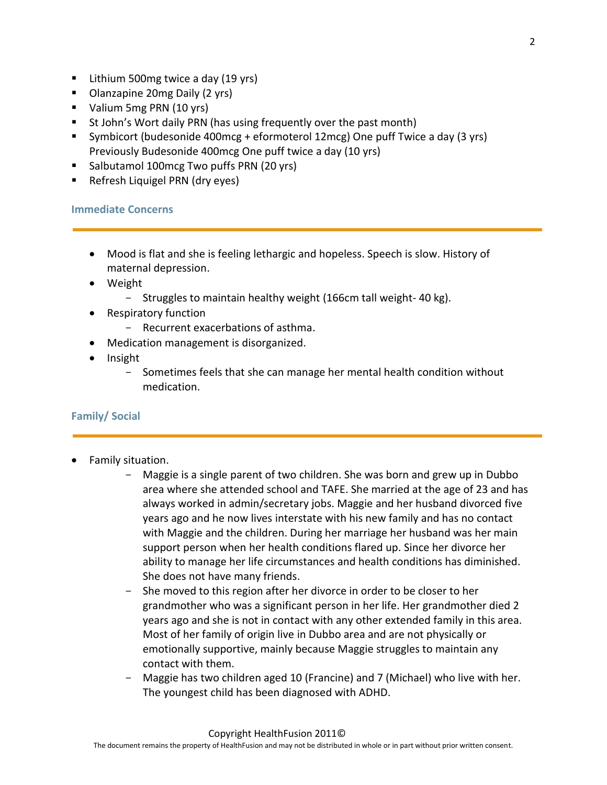- Lithium 500mg twice a day (19 yrs)
- Olanzapine 20mg Daily (2 yrs)
- Valium 5mg PRN (10 yrs)
- **St John's Wort daily PRN (has using frequently over the past month)**
- Symbicort (budesonide 400mcg + eformoterol 12mcg) One puff Twice a day (3 yrs) Previously Budesonide 400mcg One puff twice a day (10 yrs)
- **Salbutamol 100mcg Two puffs PRN (20 yrs)**
- **Refresh Liquigel PRN (dry eyes)**

#### **Immediate Concerns**

- Mood is flat and she is feeling lethargic and hopeless. Speech is slow. History of maternal depression.
- Weight
	- Struggles to maintain healthy weight (166cm tall weight- 40 kg).
- Respiratory function
	- Recurrent exacerbations of asthma.
- Medication management is disorganized.
- Insight
	- Sometimes feels that she can manage her mental health condition without medication.

## **Family/ Social**

- Family situation.
	- Maggie is a single parent of two children. She was born and grew up in Dubbo area where she attended school and TAFE. She married at the age of 23 and has always worked in admin/secretary jobs. Maggie and her husband divorced five years ago and he now lives interstate with his new family and has no contact with Maggie and the children. During her marriage her husband was her main support person when her health conditions flared up. Since her divorce her ability to manage her life circumstances and health conditions has diminished. She does not have many friends.
	- She moved to this region after her divorce in order to be closer to her grandmother who was a significant person in her life. Her grandmother died 2 years ago and she is not in contact with any other extended family in this area. Most of her family of origin live in Dubbo area and are not physically or emotionally supportive, mainly because Maggie struggles to maintain any contact with them.
	- Maggie has two children aged 10 (Francine) and 7 (Michael) who live with her. The youngest child has been diagnosed with ADHD.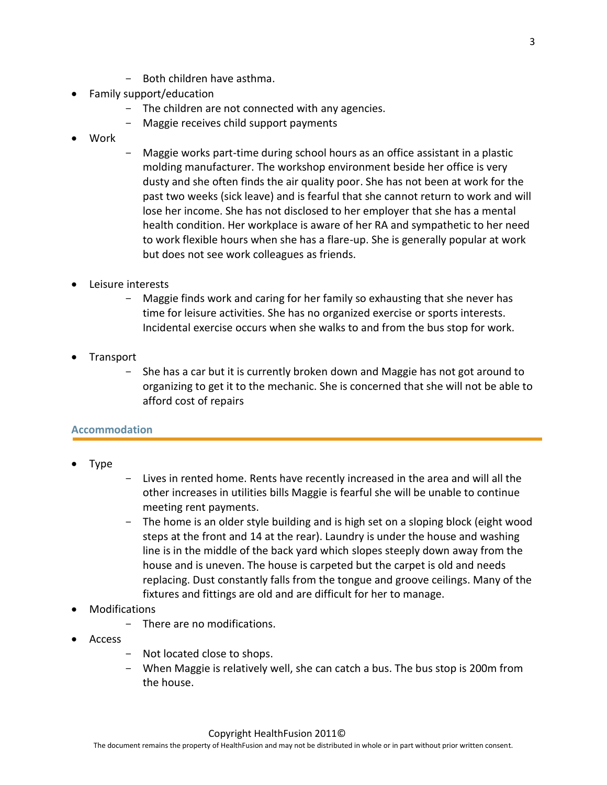- Both children have asthma.
- Family support/education
	- The children are not connected with any agencies.
	- Maggie receives child support payments
- Work
- Maggie works part-time during school hours as an office assistant in a plastic molding manufacturer. The workshop environment beside her office is very dusty and she often finds the air quality poor. She has not been at work for the past two weeks (sick leave) and is fearful that she cannot return to work and will lose her income. She has not disclosed to her employer that she has a mental health condition. Her workplace is aware of her RA and sympathetic to her need to work flexible hours when she has a flare-up. She is generally popular at work but does not see work colleagues as friends.
- Leisure interests
	- Maggie finds work and caring for her family so exhausting that she never has time for leisure activities. She has no organized exercise or sports interests. Incidental exercise occurs when she walks to and from the bus stop for work.
- Transport
	- She has a car but it is currently broken down and Maggie has not got around to organizing to get it to the mechanic. She is concerned that she will not be able to afford cost of repairs

## **Accommodation**

- Type
- Lives in rented home. Rents have recently increased in the area and will all the other increases in utilities bills Maggie is fearful she will be unable to continue meeting rent payments.
- The home is an older style building and is high set on a sloping block (eight wood steps at the front and 14 at the rear). Laundry is under the house and washing line is in the middle of the back yard which slopes steeply down away from the house and is uneven. The house is carpeted but the carpet is old and needs replacing. Dust constantly falls from the tongue and groove ceilings. Many of the fixtures and fittings are old and are difficult for her to manage.
- Modifications
	- There are no modifications.
- Access
	- Not located close to shops.
	- When Maggie is relatively well, she can catch a bus. The bus stop is 200m from the house.